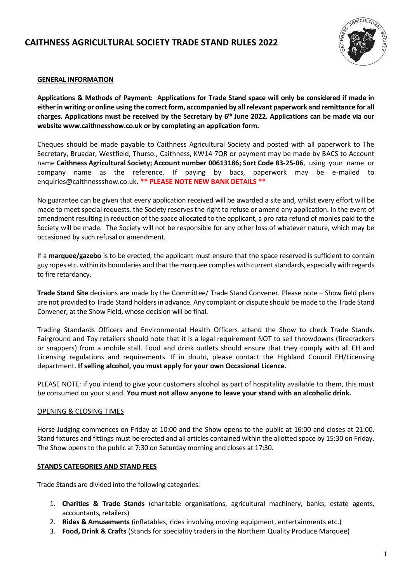# **CAITHNESS AGRICULTURAL SOCIETY TRADE STAND RULES 2022**



# **GENERAL INFORMATION**

**Applications & Methods of Payment: Applications for Trade Stand space will only be considered if made in either in writing or online using the correct form, accompanied by all relevant paperwork and remittance for all charges. Applications must be received by the Secretary by 6 th June 2022. Applications can be made via our website www.caithnesshow.co.uk or by completing an application form.**

Cheques should be made payable to Caithness Agricultural Society and posted with all paperwork to The Secretary, Bruadar, Westfield, Thurso., Caithness, KW14 7QR or payment may be made by BACS to Account name **Caithness Agricultural Society; Account number 00613186; Sort Code 83-25-06**, using your name or company name as the reference. If paying by bacs, paperwork may be e-mailed to enquiries@caithnessshow.co.uk. **\*\* PLEASE NOTE NEW BANK DETAILS \*\***

No guarantee can be given that every application received will be awarded a site and, whilst every effort will be made to meet special requests, the Society reserves the right to refuse or amend any application. In the event of amendment resulting in reduction of the space allocated to the applicant, a pro rata refund of monies paid to the Society will be made. The Society will not be responsible for any other loss of whatever nature, which may be occasioned by such refusal or amendment.

If a **marquee/gazebo** is to be erected, the applicant must ensure that the space reserved is sufficient to contain guy ropes etc. within its boundaries and that the marquee complies with current standards, especially with regards to fire retardancy.

**Trade Stand Site** decisions are made by the Committee/ Trade Stand Convener. Please note – Show field plans are not provided to Trade Stand holders in advance. Any complaint or dispute should be made to the Trade Stand Convener, at the Show Field, whose decision will be final.

Trading Standards Officers and Environmental Health Officers attend the Show to check Trade Stands. Fairground and Toy retailers should note that it is a legal requirement NOT to sell throwdowns (firecrackers or snappers) from a mobile stall. Food and drink outlets should ensure that they comply with all EH and Licensing regulations and requirements. If in doubt, please contact the Highland Council EH/Licensing department. **If selling alcohol, you must apply for your own Occasional Licence.**

PLEASE NOTE: if you intend to give your customers alcohol as part of hospitality available to them, this must be consumed on your stand. **You must not allow anyone to leave your stand with an alcoholic drink.** 

#### OPENING & CLOSING TIMES

Horse Judging commences on Friday at 10:00 and the Show opens to the public at 16:00 and closes at 21:00. Stand fixtures and fittings must be erected and all articles contained within the allotted space by 15:30 on Friday. The Show opens to the public at 7:30 on Saturday morning and closes at 17:30.

#### **STANDS CATEGORIES AND STAND FEES**

Trade Stands are divided into the following categories:

- 1. **Charities & Trade Stands** (charitable organisations, agricultural machinery, banks, estate agents, accountants, retailers)
- 2. **Rides & Amusements** (inflatables, rides involving moving equipment, entertainments etc.)
- 3. **Food, Drink & Crafts** (Stands for speciality traders in the Northern Quality Produce Marquee)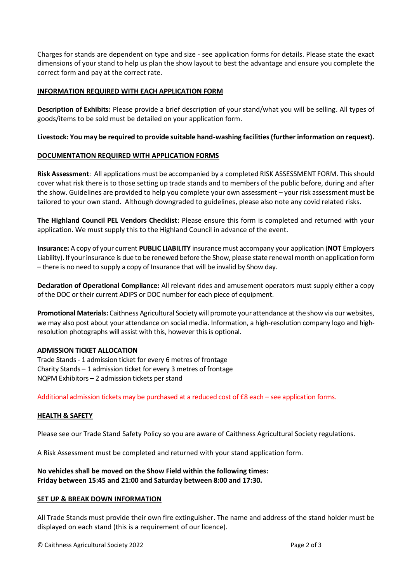Charges for stands are dependent on type and size - see application forms for details. Please state the exact dimensions of your stand to help us plan the show layout to best the advantage and ensure you complete the correct form and pay at the correct rate.

#### **INFORMATION REQUIRED WITH EACH APPLICATION FORM**

**Description of Exhibits:** Please provide a brief description of your stand/what you will be selling. All types of goods/items to be sold must be detailed on your application form.

#### **Livestock: You may be required to provide suitable hand-washing facilities (further information on request).**

# **DOCUMENTATION REQUIRED WITH APPLICATION FORMS**

**Risk Assessment**: All applications must be accompanied by a completed RISK ASSESSMENT FORM. This should cover what risk there is to those setting up trade stands and to members of the public before, during and after the show. Guidelines are provided to help you complete your own assessment – your risk assessment must be tailored to your own stand. Although downgraded to guidelines, please also note any covid related risks.

**The Highland Council PEL Vendors Checklist**: Please ensure this form is completed and returned with your application. We must supply this to the Highland Council in advance of the event.

**Insurance:** A copy of your current **PUBLIC LIABILITY** insurance must accompany your application (**NOT** Employers Liability). If your insurance is due to be renewed before the Show, please state renewal month on application form – there is no need to supply a copy of Insurance that will be invalid by Show day.

**Declaration of Operational Compliance:** All relevant rides and amusement operators must supply either a copy of the DOC or their current ADIPS or DOC number for each piece of equipment.

**Promotional Materials:** Caithness Agricultural Society will promote your attendance at the show via our websites, we may also post about your attendance on social media. Information, a high-resolution company logo and highresolution photographs will assist with this, however this is optional.

#### **ADMISSION TICKET ALLOCATION**

Trade Stands - 1 admission ticket for every 6 metres of frontage Charity Stands – 1 admission ticket for every 3 metres of frontage NQPM Exhibitors – 2 admission tickets per stand

Additional admission tickets may be purchased at a reduced cost of £8 each – see application forms.

# **HEALTH & SAFETY**

Please see our Trade Stand Safety Policy so you are aware of Caithness Agricultural Society regulations.

A Risk Assessment must be completed and returned with your stand application form.

# **No vehicles shall be moved on the Show Field within the following times: Friday between 15:45 and 21:00 and Saturday between 8:00 and 17:30.**

#### **SET UP & BREAK DOWN INFORMATION**

All Trade Stands must provide their own fire extinguisher. The name and address of the stand holder must be displayed on each stand (this is a requirement of our licence).